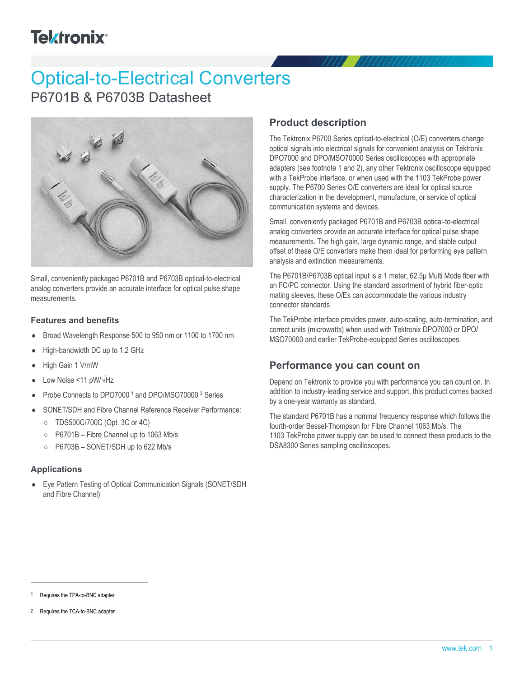## **Tektronix®**

# Optical-to-Electrical Converters

P6701B & P6703B Datasheet



Small, conveniently packaged P6701B and P6703B optical-to-electrical analog converters provide an accurate interface for optical pulse shape measurements.

### **Features and benefits**

- Broad Wavelength Response 500 to 950 nm or 1100 to 1700 nm  $\bullet$
- High-bandwidth DC up to 1.2 GHz
- High Gain 1 V/mW
- Low Noise <11 pW/√Hz
- Probe Connects to DPO7000<sup>1</sup> and DPO/MSO70000<sup>2</sup> Series
- SONET/SDH and Fibre Channel Reference Receiver Performance:  $\bullet$ 
	- TDS500C/700C (Opt. 3C or 4C)
	- P6701B Fibre Channel up to 1063 Mb/s
	- P6703B SONET/SDH up to 622 Mb/s

### **Applications**

Eye Pattern Testing of Optical Communication Signals (SONET/SDH and Fibre Channel)

### **Product description**

The Tektronix P6700 Series optical-to-electrical (O/E) converters change optical signals into electrical signals for convenient analysis on Tektronix DPO7000 and DPO/MSO70000 Series oscilloscopes with appropriate adapters (see footnote 1 and 2), any other Tektronix oscilloscope equipped with a TekProbe interface, or when used with the 1103 TekProbe power supply. The P6700 Series O/E converters are ideal for optical source characterization in the development, manufacture, or service of optical communication systems and devices.

Small, conveniently packaged P6701B and P6703B optical-to-electrical analog converters provide an accurate interface for optical pulse shape measurements. The high gain, large dynamic range, and stable output offset of these O/E converters make them ideal for performing eye pattern analysis and extinction measurements.

The P6701B/P6703B optical input is a 1 meter, 62.5μ Multi Mode fiber with an FC/PC connector. Using the standard assortment of hybrid fiber-optic mating sleeves, these O/Es can accommodate the various industry connector standards.

The TekProbe interface provides power, auto-scaling, auto-termination, and correct units (microwatts) when used with Tektronix DPO7000 or DPO/ MSO70000 and earlier TekProbe-equipped Series oscilloscopes.

### **Performance you can count on**

Depend on Tektronix to provide you with performance you can count on. In addition to industry-leading service and support, this product comes backed by a one-year warranty as standard.

The standard P6701B has a nominal frequency response which follows the fourth-order Bessel-Thompson for Fibre Channel 1063 Mb/s. The 1103 TekProbe power supply can be used to connect these products to the DSA8300 Series sampling oscilloscopes.

Requires the TCA-to-BNC adapter

Requires the TPA-to-BNC adapter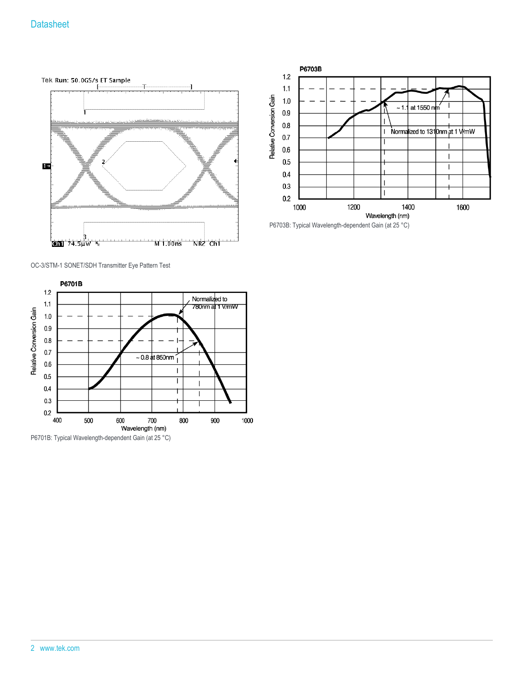



P6703B: Typical Wavelength-dependent Gain (at 25 °C)

OC-3/STM-1 SONET/SDH Transmitter Eye Pattern Test



P6701B: Typical Wavelength-dependent Gain (at 25 °C)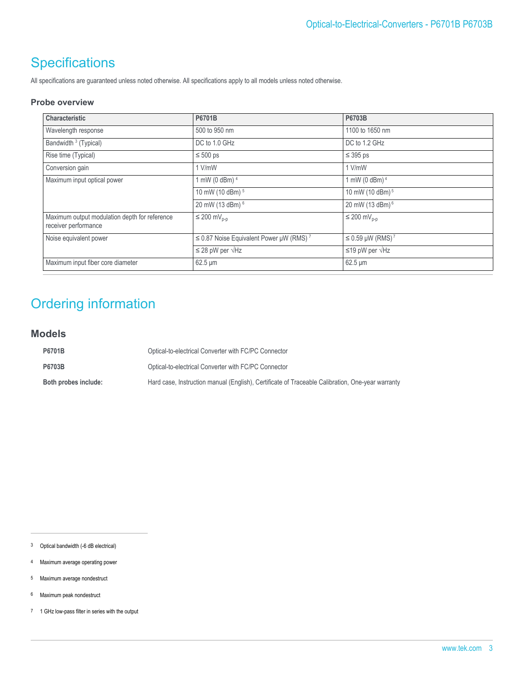### **Specifications**

All specifications are guaranteed unless noted otherwise. All specifications apply to all models unless noted otherwise.

### **Probe overview**

| Characteristic                                                        | P6701B                                                   | P6703B                       |
|-----------------------------------------------------------------------|----------------------------------------------------------|------------------------------|
| Wavelength response                                                   | 500 to 950 nm                                            | 1100 to 1650 nm              |
| Bandwidth <sup>3</sup> (Typical)                                      | DC to 1.0 GHz                                            | DC to 1.2 GHz                |
| Rise time (Typical)                                                   | $\leq 500$ ps                                            | $\leq$ 395 ps                |
| Conversion gain                                                       | $1$ V/mW                                                 | 1 V/mW                       |
| Maximum input optical power                                           | 1 mW (0 dBm) 4                                           | 1 mW (0 dBm) <sup>4</sup>    |
|                                                                       | 10 mW (10 dBm) <sup>5</sup>                              | 10 mW (10 dBm) <sup>5</sup>  |
|                                                                       | 20 mW (13 dBm) <sup>6</sup>                              | 20 mW (13 dBm) <sup>6</sup>  |
| Maximum output modulation depth for reference<br>receiver performance | $\leq 200$ mV <sub>p-p</sub>                             | $\leq 200$ mV <sub>p-p</sub> |
| Noise equivalent power                                                | $\leq$ 0.87 Noise Equivalent Power µW (RMS) <sup>7</sup> | $≤ 0.59 \mu W (RMS)^7$       |
|                                                                       | $\leq$ 28 pW per $\sqrt{Hz}$                             | ≤19 pW per $\sqrt{Hz}$       |
| Maximum input fiber core diameter                                     | $62.5 \,\mathrm{\upmu m}$                                | $62.5 \mu m$                 |

### Ordering information

### **Models**

| P6701B               | Optical-to-electrical Converter with FC/PC Connector                                             |
|----------------------|--------------------------------------------------------------------------------------------------|
| <b>P6703B</b>        | Optical-to-electrical Converter with FC/PC Connector                                             |
| Both probes include: | Hard case, Instruction manual (English), Certificate of Traceable Calibration, One-year warranty |

3 Optical bandwidth (-6 dB electrical)

- 4 Maximum average operating power
- 5 Maximum average nondestruct
- 6 Maximum peak nondestruct
- 7 1 GHz low-pass filter in series with the output